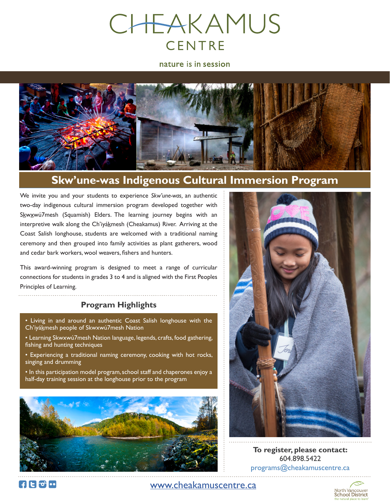

nature is in session



## **Skw'une-was Indigenous Cultural Immersion Program**

We invite you and your students to experience *Skw'une-was,* an authentic two-day indigenous cultural immersion program developed together with Skwxwú7mesh (Squamish) Elders. The learning journey begins with an interpretive walk along the Ch'iyákmesh (Cheakamus) River. Arriving at the Coast Salish longhouse, students are welcomed with a traditional naming ceremony and then grouped into family activities as plant gatherers, wood and cedar bark workers, wool weavers, fishers and hunters.

This award-winning program is designed to meet a range of curricular connections for students in grades 3 to 4 and is aligned with the First Peoples Principles of Learning.

#### **Program Highlights**

- Living in and around an authentic Coast Salish longhouse with the Ch'iyákmesh people of Skwxwú7mesh Nation
- Learning Skwxwú7mesh Nation language, legends, crafts, food gathering, fishing and hunting techniques
- Experiencing a traditional naming ceremony, cooking with hot rocks, singing and drumming
- In this participation model program, school staff and chaperones enjoy a half-day training session at the longhouse prior to the program





**To register, please contact:** 604.898.5422 programs@cheakamuscentre.ca

**FIEED**